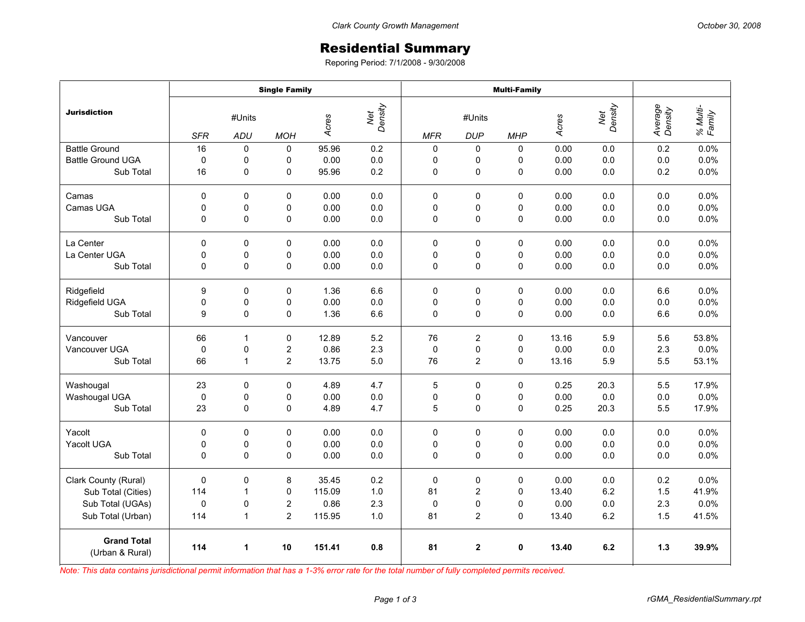## Residential Summary

Reporing Period: 7/1/2008 - 9/30/2008

|                                       | <b>Single Family</b> |              |                |        |                | <b>Multi-Family</b> |                         |             |       |                |                    |                    |
|---------------------------------------|----------------------|--------------|----------------|--------|----------------|---------------------|-------------------------|-------------|-------|----------------|--------------------|--------------------|
| <b>Jurisdiction</b>                   | #Units               |              |                | Acres  | Net<br>Density | #Units              |                         |             | Acres | Net<br>Density | Average<br>Density | % Multi-<br>Family |
|                                       | <b>SFR</b>           | ADU          | <b>MOH</b>     |        |                | <b>MFR</b>          | <b>DUP</b>              | <b>MHP</b>  |       |                |                    |                    |
| <b>Battle Ground</b>                  | 16                   | 0            | $\mathbf 0$    | 95.96  | 0.2            | $\mathbf 0$         | 0                       | $\Omega$    | 0.00  | 0.0            | 0.2                | 0.0%               |
| <b>Battle Ground UGA</b>              | 0                    | 0            | 0              | 0.00   | 0.0            | 0                   | 0                       | 0           | 0.00  | 0.0            | 0.0                | 0.0%               |
| Sub Total                             | 16                   | 0            | 0              | 95.96  | 0.2            | 0                   | $\mathsf 0$             | 0           | 0.00  | 0.0            | 0.2                | 0.0%               |
| Camas                                 | $\mathbf 0$          | $\Omega$     | $\Omega$       | 0.00   | 0.0            | $\mathbf 0$         | $\mathbf 0$             | $\Omega$    | 0.00  | 0.0            | 0.0                | 0.0%               |
| Camas UGA                             | $\mathbf 0$          | 0            | 0              | 0.00   | 0.0            | 0                   | 0                       | 0           | 0.00  | 0.0            | 0.0                | 0.0%               |
| Sub Total                             | $\mathbf 0$          | $\mathbf 0$  | 0              | 0.00   | 0.0            | 0                   | 0                       | 0           | 0.00  | 0.0            | 0.0                | 0.0%               |
| La Center                             | 0                    | $\mathbf 0$  | 0              | 0.00   | 0.0            | $\mathbf 0$         | 0                       | 0           | 0.00  | 0.0            | 0.0                | 0.0%               |
| La Center UGA                         | $\mathbf 0$          | 0            | $\mathsf 0$    | 0.00   | 0.0            | 0                   | 0                       | 0           | 0.00  | 0.0            | 0.0                | 0.0%               |
| Sub Total                             | $\mathbf 0$          | 0            | 0              | 0.00   | 0.0            | 0                   | 0                       | 0           | 0.00  | 0.0            | 0.0                | 0.0%               |
| Ridgefield                            | 9                    | $\mathbf 0$  | 0              | 1.36   | 6.6            | $\mathbf 0$         | 0                       | $\mathbf 0$ | 0.00  | 0.0            | 6.6                | 0.0%               |
| Ridgefield UGA                        | 0                    | 0            | 0              | 0.00   | 0.0            | 0                   | 0                       | 0           | 0.00  | 0.0            | 0.0                | 0.0%               |
| Sub Total                             | 9                    | $\mathbf 0$  | 0              | 1.36   | 6.6            | 0                   | $\mathsf 0$             | 0           | 0.00  | 0.0            | 6.6                | 0.0%               |
| Vancouver                             | 66                   | $\mathbf{1}$ | 0              | 12.89  | 5.2            | 76                  | $\overline{2}$          | 0           | 13.16 | 5.9            | 5.6                | 53.8%              |
| Vancouver UGA                         | $\mathbf 0$          | $\pmb{0}$    | $\overline{c}$ | 0.86   | 2.3            | $\mathbf 0$         | 0                       | 0           | 0.00  | 0.0            | 2.3                | 0.0%               |
| Sub Total                             | 66                   | $\mathbf{1}$ | $\overline{2}$ | 13.75  | 5.0            | 76                  | $\overline{2}$          | 0           | 13.16 | 5.9            | 5.5                | 53.1%              |
| Washougal                             | 23                   | $\mathbf 0$  | $\mathbf 0$    | 4.89   | 4.7            | 5                   | $\pmb{0}$               | 0           | 0.25  | 20.3           | 5.5                | 17.9%              |
| Washougal UGA                         | $\mathbf 0$          | 0            | 0              | 0.00   | 0.0            | 0                   | 0                       | 0           | 0.00  | 0.0            | 0.0                | 0.0%               |
| Sub Total                             | 23                   | $\mathbf 0$  | $\mathbf 0$    | 4.89   | 4.7            | 5                   | 0                       | 0           | 0.25  | 20.3           | 5.5                | 17.9%              |
| Yacolt                                | $\mathbf 0$          | $\Omega$     | $\mathbf 0$    | 0.00   | 0.0            | $\Omega$            | $\mathbf 0$             | $\Omega$    | 0.00  | 0.0            | 0.0                | 0.0%               |
| Yacolt UGA                            | 0                    | 0            | 0              | 0.00   | 0.0            | 0                   | 0                       | 0           | 0.00  | 0.0            | 0.0                | 0.0%               |
| Sub Total                             | $\mathbf 0$          | $\mathbf 0$  | $\mathbf 0$    | 0.00   | 0.0            | $\mathbf 0$         | 0                       | 0           | 0.00  | 0.0            | 0.0                | 0.0%               |
| Clark County (Rural)                  | $\mathbf 0$          | 0            | 8              | 35.45  | 0.2            | $\pmb{0}$           | $\pmb{0}$               | 0           | 0.00  | 0.0            | 0.2                | 0.0%               |
| Sub Total (Cities)                    | 114                  | $\mathbf{1}$ | 0              | 115.09 | 1.0            | 81                  | $\overline{c}$          | $\mathbf 0$ | 13.40 | 6.2            | 1.5                | 41.9%              |
| Sub Total (UGAs)                      | $\mathbf 0$          | 0            | $\overline{c}$ | 0.86   | 2.3            | $\mathbf 0$         | 0                       | $\Omega$    | 0.00  | 0.0            | 2.3                | 0.0%               |
| Sub Total (Urban)                     | 114                  | 1            | $\overline{c}$ | 115.95 | 1.0            | 81                  | $\overline{\mathbf{c}}$ | 0           | 13.40 | 6.2            | 1.5                | 41.5%              |
| <b>Grand Total</b><br>(Urban & Rural) | 114                  | 1            | 10             | 151.41 | 0.8            | 81                  | $\overline{2}$          | $\mathbf 0$ | 13.40 | 6.2            | $1.3$              | 39.9%              |

*Note: This data contains jurisdictional permit information that has a 1-3% error rate for the total number of fully completed permits received.*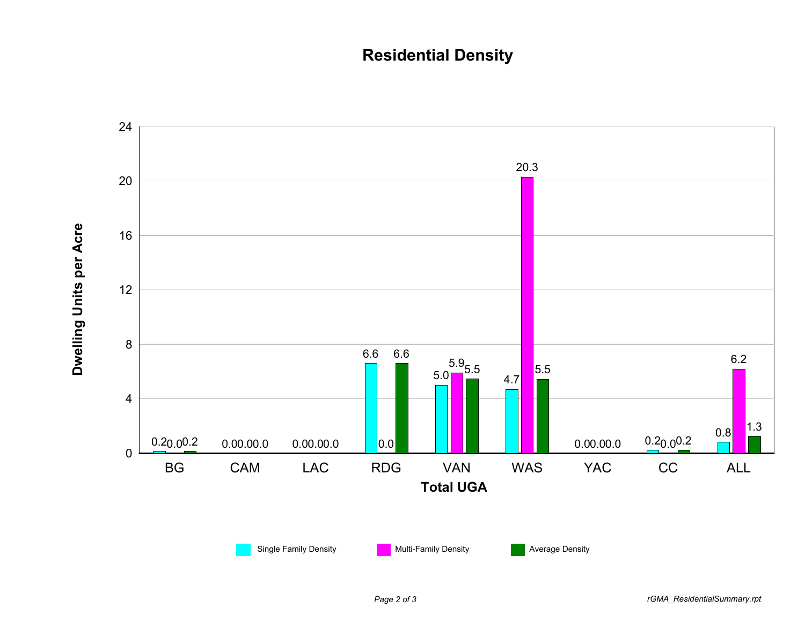## **Residential Density**